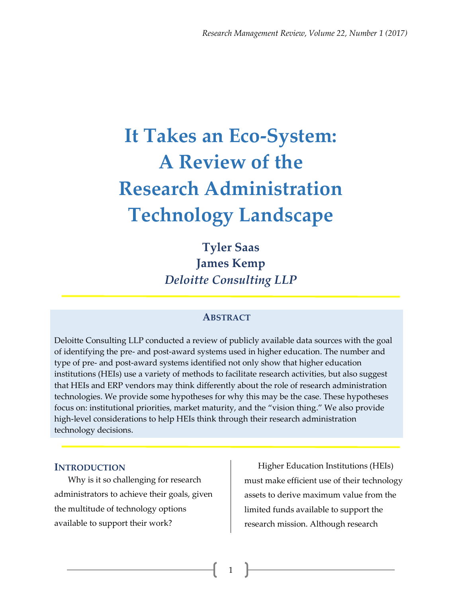# **It Takes an Eco-System: A Review of the Research Administration Technology Landscape**

**Tyler Saas James Kemp** *Deloitte Consulting LLP*

## **ABSTRACT**

Deloitte Consulting LLP conducted a review of publicly available data sources with the goal of identifying the pre- and post-award systems used in higher education. The number and type of pre- and post-award systems identified not only show that higher education institutions (HEIs) use a variety of methods to facilitate research activities, but also suggest that HEIs and ERP vendors may think differently about the role of research administration technologies. We provide some hypotheses for why this may be the case. These hypotheses focus on: institutional priorities, market maturity, and the "vision thing." We also provide high-level considerations to help HEIs think through their research administration technology decisions.

1

### **INTRODUCTION**

Why is it so challenging for research administrators to achieve their goals, given the multitude of technology options available to support their work?

Higher Education Institutions (HEIs) must make efficient use of their technology assets to derive maximum value from the limited funds available to support the research mission. Although research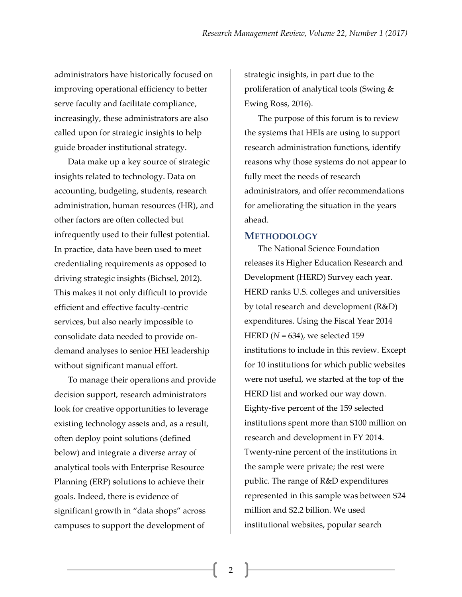administrators have historically focused on improving operational efficiency to better serve faculty and facilitate compliance, increasingly, these administrators are also called upon for strategic insights to help guide broader institutional strategy.

Data make up a key source of strategic insights related to technology. Data on accounting, budgeting, students, research administration, human resources (HR), and other factors are often collected but infrequently used to their fullest potential. In practice, data have been used to meet credentialing requirements as opposed to driving strategic insights (Bichsel, 2012). This makes it not only difficult to provide efficient and effective faculty-centric services, but also nearly impossible to consolidate data needed to provide ondemand analyses to senior HEI leadership without significant manual effort.

To manage their operations and provide decision support, research administrators look for creative opportunities to leverage existing technology assets and, as a result, often deploy point solutions (defined below) and integrate a diverse array of analytical tools with Enterprise Resource Planning (ERP) solutions to achieve their goals. Indeed, there is evidence of significant growth in "data shops" across campuses to support the development of

strategic insights, in part due to the proliferation of analytical tools (Swing & Ewing Ross, 2016).

The purpose of this forum is to review the systems that HEIs are using to support research administration functions, identify reasons why those systems do not appear to fully meet the needs of research administrators, and offer recommendations for ameliorating the situation in the years ahead.

## **METHODOLOGY**

The National Science Foundation releases its Higher Education Research and Development (HERD) Survey each year. HERD ranks U.S. colleges and universities by total research and development (R&D) expenditures. Using the Fiscal Year 2014 HERD (*N* = 634), we selected 159 institutions to include in this review. Except for 10 institutions for which public websites were not useful, we started at the top of the HERD list and worked our way down. Eighty-five percent of the 159 selected institutions spent more than \$100 million on research and development in FY 2014. Twenty-nine percent of the institutions in the sample were private; the rest were public. The range of R&D expenditures represented in this sample was between \$24 million and \$2.2 billion. We used institutional websites, popular search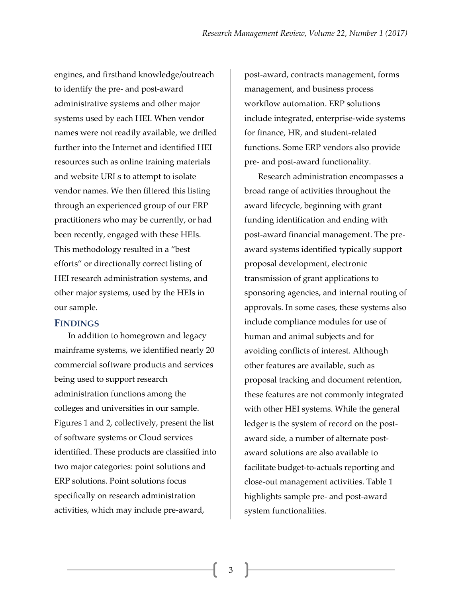engines, and firsthand knowledge/outreach to identify the pre- and post-award administrative systems and other major systems used by each HEI. When vendor names were not readily available, we drilled further into the Internet and identified HEI resources such as online training materials and website URLs to attempt to isolate vendor names. We then filtered this listing through an experienced group of our ERP practitioners who may be currently, or had been recently, engaged with these HEIs. This methodology resulted in a "best efforts" or directionally correct listing of HEI research administration systems, and other major systems, used by the HEIs in our sample.

## **FINDINGS**

In addition to homegrown and legacy mainframe systems, we identified nearly 20 commercial software products and services being used to support research administration functions among the colleges and universities in our sample. Figures 1 and 2, collectively, present the list of software systems or Cloud services identified. These products are classified into two major categories: point solutions and ERP solutions. Point solutions focus specifically on research administration activities, which may include pre-award,

post-award, contracts management, forms management, and business process workflow automation. ERP solutions include integrated, enterprise-wide systems for finance, HR, and student-related functions. Some ERP vendors also provide pre- and post-award functionality.

Research administration encompasses a broad range of activities throughout the award lifecycle, beginning with grant funding identification and ending with post-award financial management. The preaward systems identified typically support proposal development, electronic transmission of grant applications to sponsoring agencies, and internal routing of approvals. In some cases, these systems also include compliance modules for use of human and animal subjects and for avoiding conflicts of interest. Although other features are available, such as proposal tracking and document retention, these features are not commonly integrated with other HEI systems. While the general ledger is the system of record on the postaward side, a number of alternate postaward solutions are also available to facilitate budget-to-actuals reporting and close-out management activities. Table 1 highlights sample pre- and post-award system functionalities.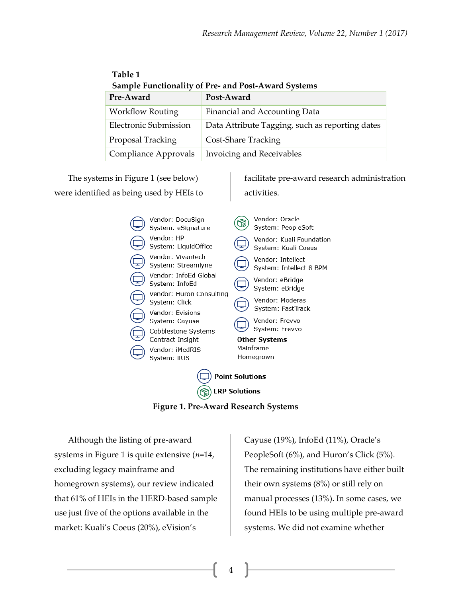| <b>Sample Functionality of Pre- and Post-Award Systems</b> |                                                 |  |  |  |  |
|------------------------------------------------------------|-------------------------------------------------|--|--|--|--|
| Pre-Award                                                  | Post-Award                                      |  |  |  |  |
| <b>Workflow Routing</b>                                    | Financial and Accounting Data                   |  |  |  |  |
| <b>Electronic Submission</b>                               | Data Attribute Tagging, such as reporting dates |  |  |  |  |
| Proposal Tracking                                          | <b>Cost-Share Tracking</b>                      |  |  |  |  |
| Compliance Approvals                                       | Invoicing and Receivables                       |  |  |  |  |

The systems in Figure 1 (see below) were identified as being used by HEIs to

**Table 1**

facilitate pre-award research administration activities.

|                 | Vendor: DocuSign<br>System: eSignature    |                        | Vendor: Oracle<br>System: PeopleSoft            |  |  |  |  |
|-----------------|-------------------------------------------|------------------------|-------------------------------------------------|--|--|--|--|
|                 | Vendor: HP<br>System: LiquidOffice        |                        | Vendor: Kuali Foundation<br>System: Kuali Coeus |  |  |  |  |
|                 | Vendor: Vivantech<br>System: Streamlyne   |                        | Vendor: Intellect<br>System: Intellect 8 BPM    |  |  |  |  |
|                 | Vendor: InfoEd Global<br>System: InfoEd   |                        | Vendor: eBridge<br>System: eBridge              |  |  |  |  |
|                 | Vendor: Huron Consulting<br>System: Click |                        | Vendor: Moderas<br>System: FastTrack            |  |  |  |  |
|                 | Vendor: Evisions<br>System: Cayuse        |                        | Vendor: Frevvo                                  |  |  |  |  |
|                 | Cobblestone Systems<br>Contract Insight   |                        | System: Frevvo<br><b>Other Systems</b>          |  |  |  |  |
|                 | Vendor: iMedRIS<br>System: iRIS           | Mainframe<br>Homegrown |                                                 |  |  |  |  |
| Point Solutions |                                           |                        |                                                 |  |  |  |  |

**Figure 1. Pre-Award Research Systems**

 $\textcircled{\tiny{\textsf{R}}}$  ERP Solutions

4

Although the listing of pre-award systems in Figure 1 is quite extensive (*n*=14, excluding legacy mainframe and homegrown systems), our review indicated that 61% of HEIs in the HERD-based sample use just five of the options available in the market: Kuali's Coeus (20%), eVision's

Cayuse (19%), InfoEd (11%), Oracle's PeopleSoft (6%), and Huron's Click (5%). The remaining institutions have either built their own systems (8%) or still rely on manual processes (13%). In some cases, we found HEIs to be using multiple pre-award systems. We did not examine whether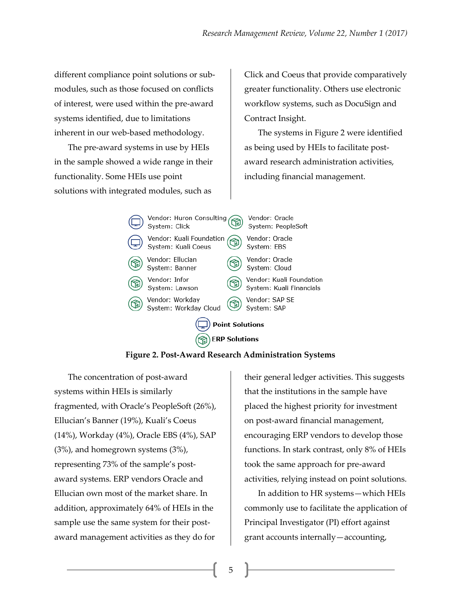different compliance point solutions or submodules, such as those focused on conflicts of interest, were used within the pre-award systems identified, due to limitations inherent in our web-based methodology.

The pre-award systems in use by HEIs in the sample showed a wide range in their functionality. Some HEIs use point solutions with integrated modules, such as

Click and Coeus that provide comparatively greater functionality. Others use electronic workflow systems, such as DocuSign and Contract Insight.

The systems in Figure 2 were identified as being used by HEIs to facilitate postaward research administration activities, including financial management.



**Figure 2. Post-Award Research Administration Systems**

The concentration of post-award systems within HEIs is similarly fragmented, with Oracle's PeopleSoft (26%), Ellucian's Banner (19%), Kuali's Coeus (14%), Workday (4%), Oracle EBS (4%), SAP (3%), and homegrown systems (3%), representing 73% of the sample's postaward systems. ERP vendors Oracle and Ellucian own most of the market share. In addition, approximately 64% of HEIs in the sample use the same system for their postaward management activities as they do for

their general ledger activities. This suggests that the institutions in the sample have placed the highest priority for investment on post-award financial management, encouraging ERP vendors to develop those functions. In stark contrast, only 8% of HEIs took the same approach for pre-award activities, relying instead on point solutions.

In addition to HR systems—which HEIs commonly use to facilitate the application of Principal Investigator (PI) effort against grant accounts internally—accounting,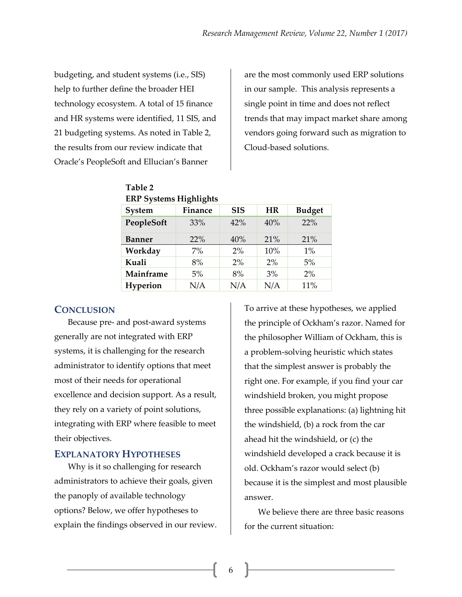budgeting, and student systems (i.e., SIS) help to further define the broader HEI technology ecosystem. A total of 15 finance and HR systems were identified, 11 SIS, and 21 budgeting systems. As noted in Table 2, the results from our review indicate that Oracle's PeopleSoft and Ellucian's Banner

are the most commonly used ERP solutions in our sample. This analysis represents a single point in time and does not reflect trends that may impact market share among vendors going forward such as migration to Cloud-based solutions.

| ENT Systems riigniignts |                |            |           |               |  |  |  |  |
|-------------------------|----------------|------------|-----------|---------------|--|--|--|--|
| System                  | <b>Finance</b> | <b>SIS</b> | <b>HR</b> | <b>Budget</b> |  |  |  |  |
| PeopleSoft              | 33%            | 42%        | 40%       | 22%           |  |  |  |  |
| <b>Banner</b>           | 22%            | 40%        | 21%       | 21%           |  |  |  |  |
| Workday                 | 7%             | 2%         | 10%       | 1%            |  |  |  |  |
| Kuali                   | 8%             | 2%         | 2%        | 5%            |  |  |  |  |
| Mainframe               | 5%             | 8%         | 3%        | 2%            |  |  |  |  |
| Hyperion                | N/A            | N/A        | N/A       | 11%           |  |  |  |  |
|                         |                |            |           |               |  |  |  |  |

#### **Table 2 ERP Systems Highlights**

## **CONCLUSION**

Because pre- and post-award systems generally are not integrated with ERP systems, it is challenging for the research administrator to identify options that meet most of their needs for operational excellence and decision support. As a result, they rely on a variety of point solutions, integrating with ERP where feasible to meet their objectives.

## **EXPLANATORY HYPOTHESES**

Why is it so challenging for research administrators to achieve their goals, given the panoply of available technology options? Below, we offer hypotheses to explain the findings observed in our review. To arrive at these hypotheses, we applied the principle of Ockham's razor. Named for the philosopher William of Ockham, this is a problem-solving heuristic which states that the simplest answer is probably the right one. For example, if you find your car windshield broken, you might propose three possible explanations: (a) lightning hit the windshield, (b) a rock from the car ahead hit the windshield, or (c) the windshield developed a crack because it is old. Ockham's razor would select (b) because it is the simplest and most plausible answer.

We believe there are three basic reasons for the current situation: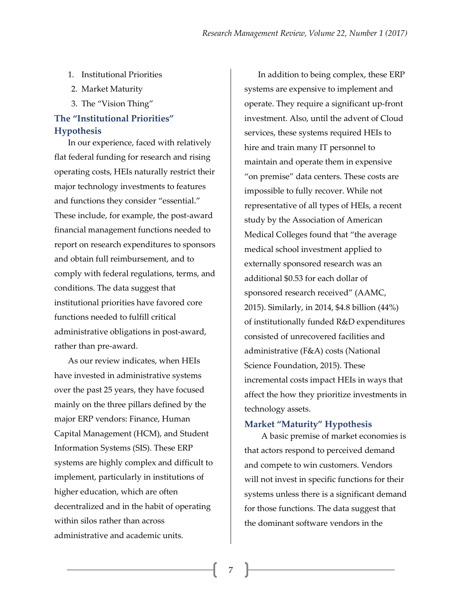- 1. Institutional Priorities
- 2. Market Maturity
- 3. The "Vision Thing"

## **The "Institutional Priorities" Hypothesis**

In our experience, faced with relatively flat federal funding for research and rising operating costs, HEIs naturally restrict their major technology investments to features and functions they consider "essential." These include, for example, the post-award financial management functions needed to report on research expenditures to sponsors and obtain full reimbursement, and to comply with federal regulations, terms, and conditions. The data suggest that institutional priorities have favored core functions needed to fulfill critical administrative obligations in post-award, rather than pre-award.

As our review indicates, when HEIs have invested in administrative systems over the past 25 years, they have focused mainly on the three pillars defined by the major ERP vendors: Finance, Human Capital Management (HCM), and Student Information Systems (SIS). These ERP systems are highly complex and difficult to implement, particularly in institutions of higher education, which are often decentralized and in the habit of operating within silos rather than across administrative and academic units.

In addition to being complex, these ERP systems are expensive to implement and operate. They require a significant up-front investment. Also, until the advent of Cloud services, these systems required HEIs to hire and train many IT personnel to maintain and operate them in expensive "on premise" data centers. These costs are impossible to fully recover. While not representative of all types of HEIs, a recent study by the Association of American Medical Colleges found that "the average medical school investment applied to externally sponsored research was an additional \$0.53 for each dollar of sponsored research received" (AAMC, 2015). Similarly, in 2014, \$4.8 billion (44%) of institutionally funded R&D expenditures consisted of unrecovered facilities and administrative (F&A) costs (National Science Foundation, 2015). These incremental costs impact HEIs in ways that affect the how they prioritize investments in technology assets.

#### **Market "Maturity" Hypothesis**

A basic premise of market economies is that actors respond to perceived demand and compete to win customers. Vendors will not invest in specific functions for their systems unless there is a significant demand for those functions. The data suggest that the dominant software vendors in the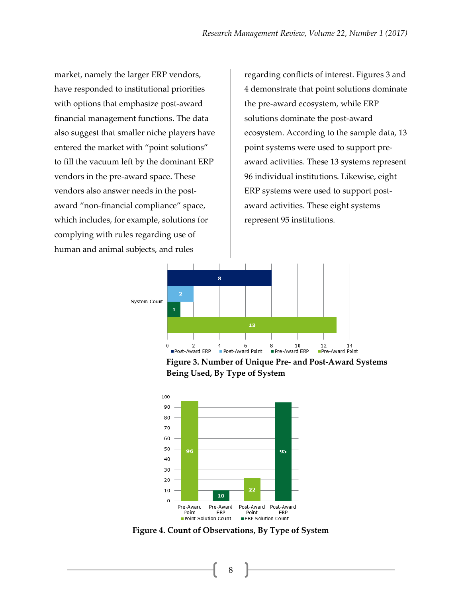market, namely the larger ERP vendors, have responded to institutional priorities with options that emphasize post-award financial management functions. The data also suggest that smaller niche players have entered the market with "point solutions" to fill the vacuum left by the dominant ERP vendors in the pre-award space. These vendors also answer needs in the postaward "non-financial compliance" space, which includes, for example, solutions for complying with rules regarding use of human and animal subjects, and rules

regarding conflicts of interest. Figures 3 and 4 demonstrate that point solutions dominate the pre-award ecosystem, while ERP solutions dominate the post-award ecosystem. According to the sample data, 13 point systems were used to support preaward activities. These 13 systems represent 96 individual institutions. Likewise, eight ERP systems were used to support postaward activities. These eight systems represent 95 institutions.



**Figure 3. Number of Unique Pre- and Post-Award Systems Being Used, By Type of System** 



**Figure 4. Count of Observations, By Type of System**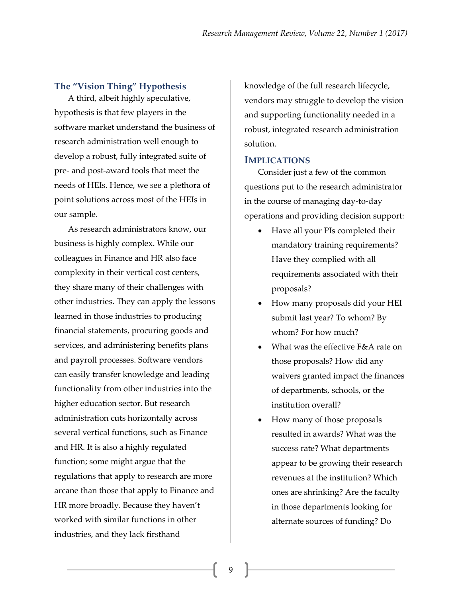### **The "Vision Thing" Hypothesis**

A third, albeit highly speculative, hypothesis is that few players in the software market understand the business of research administration well enough to develop a robust, fully integrated suite of pre- and post-award tools that meet the needs of HEIs. Hence, we see a plethora of point solutions across most of the HEIs in our sample.

As research administrators know, our business is highly complex. While our colleagues in Finance and HR also face complexity in their vertical cost centers, they share many of their challenges with other industries. They can apply the lessons learned in those industries to producing financial statements, procuring goods and services, and administering benefits plans and payroll processes. Software vendors can easily transfer knowledge and leading functionality from other industries into the higher education sector. But research administration cuts horizontally across several vertical functions, such as Finance and HR. It is also a highly regulated function; some might argue that the regulations that apply to research are more arcane than those that apply to Finance and HR more broadly. Because they haven't worked with similar functions in other industries, and they lack firsthand

knowledge of the full research lifecycle, vendors may struggle to develop the vision and supporting functionality needed in a robust, integrated research administration solution.

#### **IMPLICATIONS**

Consider just a few of the common questions put to the research administrator in the course of managing day-to-day operations and providing decision support:

- Have all your PIs completed their mandatory training requirements? Have they complied with all requirements associated with their proposals?
- How many proposals did your HEI submit last year? To whom? By whom? For how much?
- What was the effective F&A rate on those proposals? How did any waivers granted impact the finances of departments, schools, or the institution overall?
- How many of those proposals resulted in awards? What was the success rate? What departments appear to be growing their research revenues at the institution? Which ones are shrinking? Are the faculty in those departments looking for alternate sources of funding? Do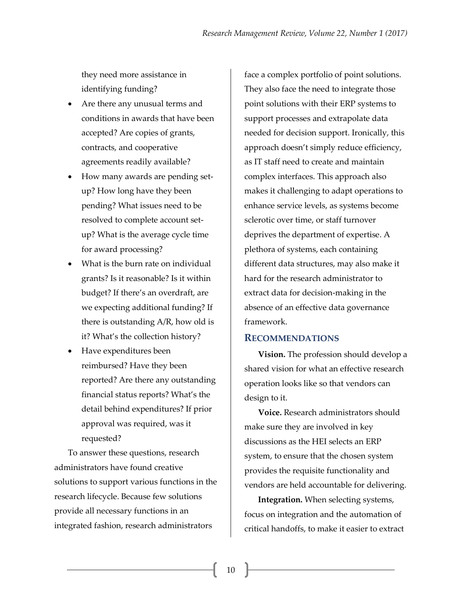they need more assistance in identifying funding?

- Are there any unusual terms and conditions in awards that have been accepted? Are copies of grants, contracts, and cooperative agreements readily available?
- How many awards are pending setup? How long have they been pending? What issues need to be resolved to complete account setup? What is the average cycle time for award processing?
- What is the burn rate on individual grants? Is it reasonable? Is it within budget? If there's an overdraft, are we expecting additional funding? If there is outstanding A/R, how old is it? What's the collection history?
- Have expenditures been reimbursed? Have they been reported? Are there any outstanding financial status reports? What's the detail behind expenditures? If prior approval was required, was it requested?

To answer these questions, research administrators have found creative solutions to support various functions in the research lifecycle. Because few solutions provide all necessary functions in an integrated fashion, research administrators

face a complex portfolio of point solutions. They also face the need to integrate those point solutions with their ERP systems to support processes and extrapolate data needed for decision support. Ironically, this approach doesn't simply reduce efficiency, as IT staff need to create and maintain complex interfaces. This approach also makes it challenging to adapt operations to enhance service levels, as systems become sclerotic over time, or staff turnover deprives the department of expertise. A plethora of systems, each containing different data structures, may also make it hard for the research administrator to extract data for decision-making in the absence of an effective data governance framework.

## **RECOMMENDATIONS**

**Vision.** The profession should develop a shared vision for what an effective research operation looks like so that vendors can design to it.

**Voice.** Research administrators should make sure they are involved in key discussions as the HEI selects an ERP system, to ensure that the chosen system provides the requisite functionality and vendors are held accountable for delivering.

**Integration.** When selecting systems, focus on integration and the automation of critical handoffs, to make it easier to extract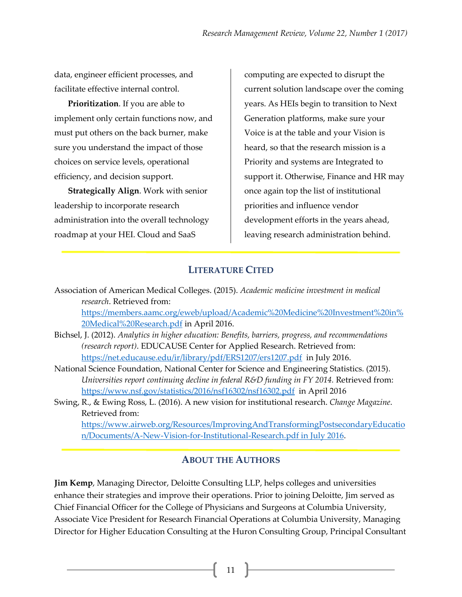data, engineer efficient processes, and facilitate effective internal control.

**Prioritization**. If you are able to implement only certain functions now, and must put others on the back burner, make sure you understand the impact of those choices on service levels, operational efficiency, and decision support.

**Strategically Align**. Work with senior leadership to incorporate research administration into the overall technology roadmap at your HEI. Cloud and SaaS

computing are expected to disrupt the current solution landscape over the coming years. As HEIs begin to transition to Next Generation platforms, make sure your Voice is at the table and your Vision is heard, so that the research mission is a Priority and systems are Integrated to support it. Otherwise, Finance and HR may once again top the list of institutional priorities and influence vendor development efforts in the years ahead, leaving research administration behind.

## **LITERATURE CITED**

Association of American Medical Colleges. (2015). *Academic medicine investment in medical research*. Retrieved from:

[https://members.aamc.org/eweb/upload/Academic%20Medicine%20Investment%20in%](https://members.aamc.org/eweb/upload/Academic%20Medicine%20Investment%20in%20Medical%20Research.pdf) [20Medical%20Research.pdf](https://members.aamc.org/eweb/upload/Academic%20Medicine%20Investment%20in%20Medical%20Research.pdf) in April 2016.

- Bichsel, J. (2012). *Analytics in higher education: Benefits, barriers, progress, and recommendations (research report)*. EDUCAUSE Center for Applied Research. Retrieved from: <https://net.educause.edu/ir/library/pdf/ERS1207/ers1207.pdf> in July 2016.
- National Science Foundation, National Center for Science and Engineering Statistics. (2015). *Universities report continuing decline in federal R&D funding in FY 2014.* Retrieved from: <https://www.nsf.gov/statistics/2016/nsf16302/nsf16302.pdf>in April 2016
- Swing, R., & Ewing Ross, L. (2016). A new vision for institutional research. *Change Magazine*. Retrieved from:

[https://www.airweb.org/Resources/ImprovingAndTransformingPostsecondaryEducatio](https://www.airweb.org/Resources/ImprovingAndTransformingPostsecondaryEducation/Documents/A-New-Vision-for-Institutional-Research.pdf%20in%20July%202016) [n/Documents/A-New-Vision-for-Institutional-Research.pdf in July 2016.](https://www.airweb.org/Resources/ImprovingAndTransformingPostsecondaryEducation/Documents/A-New-Vision-for-Institutional-Research.pdf%20in%20July%202016)

## **ABOUT THE AUTHORS**

**Jim Kemp**, Managing Director, Deloitte Consulting LLP, helps colleges and universities enhance their strategies and improve their operations. Prior to joining Deloitte, Jim served as Chief Financial Officer for the College of Physicians and Surgeons at Columbia University, Associate Vice President for Research Financial Operations at Columbia University, Managing Director for Higher Education Consulting at the Huron Consulting Group, Principal Consultant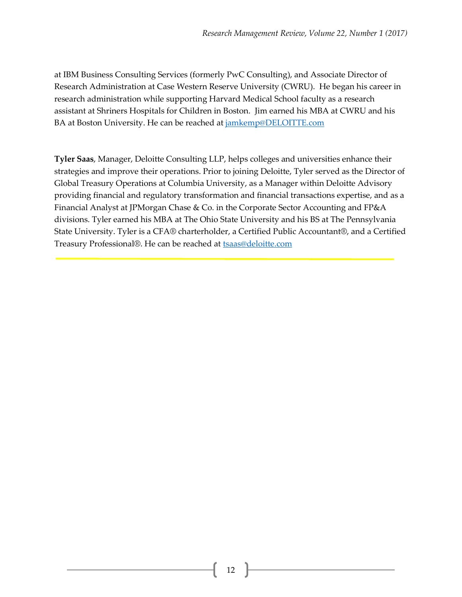at IBM Business Consulting Services (formerly PwC Consulting), and Associate Director of Research Administration at Case Western Reserve University (CWRU). He began his career in research administration while supporting Harvard Medical School faculty as a research assistant at Shriners Hospitals for Children in Boston. Jim earned his MBA at CWRU and his BA at Boston University. He can be reached at [jamkemp@DELOITTE.com](mailto:jamkemp@DELOITTE.com)

**Tyler Saas**, Manager, Deloitte Consulting LLP, helps colleges and universities enhance their strategies and improve their operations. Prior to joining Deloitte, Tyler served as the Director of Global Treasury Operations at Columbia University, as a Manager within Deloitte Advisory providing financial and regulatory transformation and financial transactions expertise, and as a Financial Analyst at JPMorgan Chase & Co. in the Corporate Sector Accounting and FP&A divisions. Tyler earned his MBA at The Ohio State University and his BS at The Pennsylvania State University. Tyler is a CFA® charterholder, a Certified Public Accountant®, and a Certified Treasury Professional®. He can be reached at **tsaas@deloitte.com**